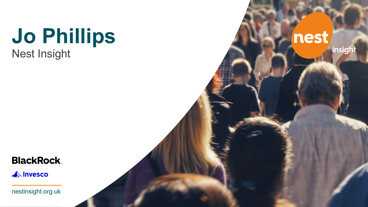## **Jo Phillips** Nest Insight

nest insight

#### **BlackRock**

**AN** Invesco

nestinsight.org.uk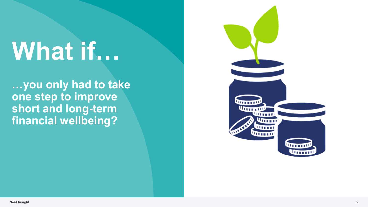# **What if…**

**…you only had to take one step to improve short and long -term financial wellbeing?**

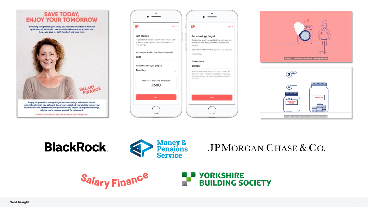

automatically when you get paid. Once you've reached your savings target, your contributions will transfer into your pension on top of your usual pension savings. helping you to prepare yourself for retirement.

Find out more about Jars and if it could work for you at:

**BlackRock** 

| SF                                                                                                                   | Sign In      | SF                                                                                                              | Sign in |
|----------------------------------------------------------------------------------------------------------------------|--------------|-----------------------------------------------------------------------------------------------------------------|---------|
| Get started                                                                                                          |              | Set a savings target                                                                                            |         |
| To get started, please select the amount you want<br>to save from each payslip and the frequency of<br>your payslips |              | Decide how much you want to build up in savings,<br>before you start making contributions into your<br>pension. |         |
| Amount you want to save from each payslip                                                                            |              | If you don't have a pension, you can Skip This Step<br>Find Out More                                            |         |
| £50                                                                                                                  |              | Savings target                                                                                                  |         |
| Select how often you get paid                                                                                        |              | £1,000                                                                                                          |         |
| Monthly                                                                                                              | $\checkmark$ | When you reach your emergency savings target, the<br>deduction from your salary will go into your pension.      |         |
| After 1 year you could have saved<br>£600                                                                            |              | Your Nest pension can be accessed when you're 55<br>years old.                                                  |         |
|                                                                                                                      |              |                                                                                                                 |         |
| Next                                                                                                                 |              |                                                                                                                 | Next    |
|                                                                                                                      |              |                                                                                                                 |         |



Jars gives you a way to save straight from your salary

**JPMORGAN CHASE & CO.** 



**Money &<br>Pensions<br>Service**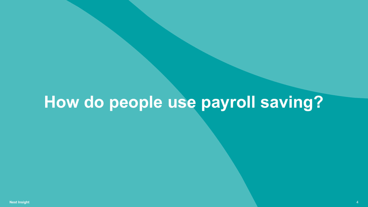## **How do people use payroll saving?**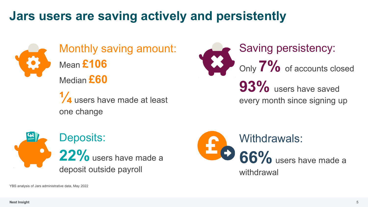#### **Jars users are saving actively and persistently**



Monthly saving amount: Mean **£106** Median **£60**

**¼** users have made at least one change







YBS analysis of Jars administrative data, May 2022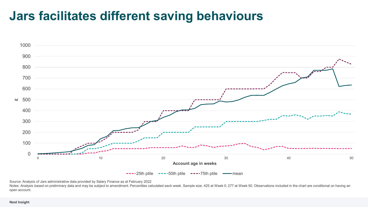#### **Jars facilitates different saving behaviours**



Source: Analysis of Jars administrative data provided by Salary Finance as at February 2022

Notes: Analysis based on preliminary data and may be subject to amendment. Percentiles calculated each week. Sample size: 425 at Week 0; 277 at Week 50. Observations included in the chart are conditional on having an open account.

#### **Nest Insight**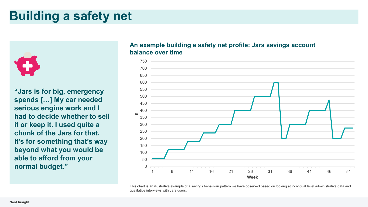#### **Building a safety net**



**"Jars is for big, emergency spends […] My car needed serious engine work and I had to decide whether to sell it or keep it. I used quite a chunk of the Jars for that. It's for something that's way beyond what you would be able to afford from your normal budget."** 0

#### **An example building a safety net profile: Jars savings account balance over time**



This chart is an illustrative example of a savings behaviour pattern we have observed based on looking at individual level administrative data and qualitative interviews with Jars users.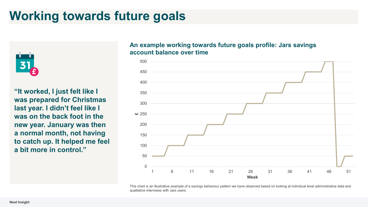#### **Working towards future goals**



**"It worked, I just felt like I was prepared for Christmas last year. I didn't feel like I was on the back foot in the new year. January was then a normal month, not having to catch up. It helped me feel a bit more in control."**

#### **An example working towards future goals profile: Jars savings account balance over time**



This chart is an illustrative example of a savings behaviour pattern we have observed based on looking at individual level administrative data and qualitative interviews with Jars users.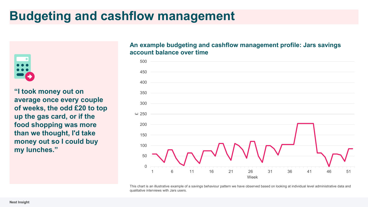### **Budgeting and cashflow management**



**"I took money out on average once every couple of weeks, the odd £20 to top up the gas card, or if the food shopping was more than we thought, I'd take money out so I could buy my lunches."**

#### **An example budgeting and cashflow management profile: Jars savings account balance over time**



This chart is an illustrative example of a savings behaviour pattern we have observed based on looking at individual level administrative data and qualitative interviews with Jars users.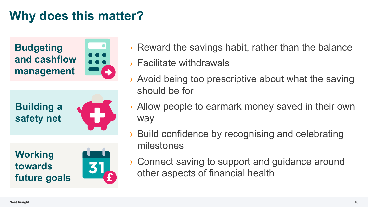### **Why does this matter?**

**Budgeting and cashflow management**







**Working towards future goals**



- › Reward the savings habit, rather than the balance
- › Facilitate withdrawals
- Avoid being too prescriptive about what the saving should be for
- › Allow people to earmark money saved in their own way
- › Build confidence by recognising and celebrating milestones
- › Connect saving to support and guidance around other aspects of financial health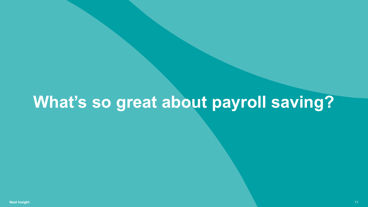## **What's so great about payroll saving?**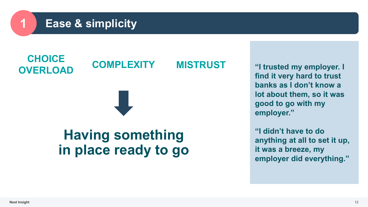#### **1 Ease & simplicity**



**"I trusted my employer. I find it very hard to trust banks as I don't know a lot about them, so it was good to go with my employer."**

**"I didn't have to do anything at all to set it up, it was a breeze, my employer did everything."**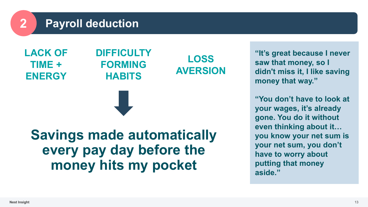#### **2 Payroll deduction**

**LACK OF TIME + ENERGY**

#### **DIFFICULTY FORMING HABITS**

**LOSS AVERSION**

**Savings made automatically every pay day before the money hits my pocket**

**"It's great because I never saw that money, so I didn't miss it, I like saving money that way."**

**"You don't have to look at your wages, it's already gone. You do it without even thinking about it… you know your net sum is your net sum, you don't have to worry about putting that money aside."**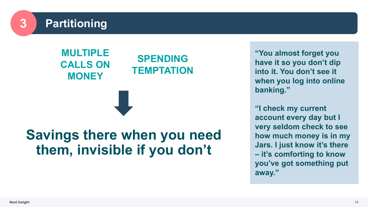

**MULTIPLE CALLS ON MONEY**

#### **SPENDING TEMPTATION**

### **Savings there when you need them, invisible if you don't**

**"You almost forget you have it so you don't dip into it. You don't see it when you log into online banking."**

**"I check my current account every day but I very seldom check to see how much money is in my Jars. I just know it's there – it's comforting to know you've got something put away."**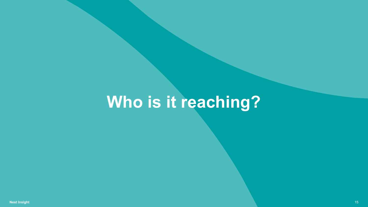## **Who is it reaching?**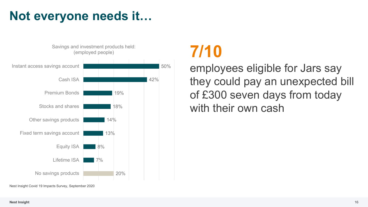### **Not everyone needs it…**



### **7/10**

employees eligible for Jars say they could pay an unexpected bill of £300 seven days from today with their own cash

Nest Insight Covid 19 Impacts Survey, September 2020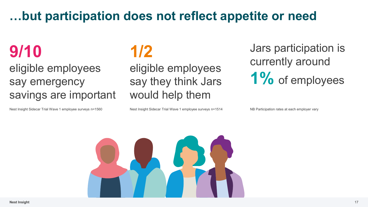#### **…but participation does not reflect appetite or need**

### **9/10**

eligible employees say emergency savings are important

Nest Insight Sidecar Trial Wave 1 employee surveys n=1560 Nest Insight Sidecar Trial Wave 1 employee surveys n=1514 NB Participation rates at each employer vary

### **1/2**

eligible employees say they think Jars would help them

Jars participation is currently around 1% of employees

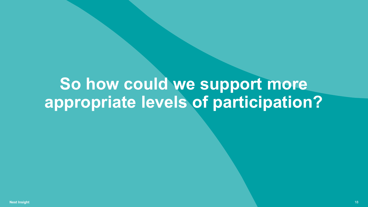## **So how could we support more appropriate levels of participation?**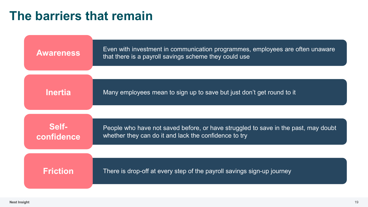#### **The barriers that remain**

| <b>Awareness</b>    | Even with investment in communication programmes, employees are often unaware<br>that there is a payroll savings scheme they could use      |
|---------------------|---------------------------------------------------------------------------------------------------------------------------------------------|
|                     |                                                                                                                                             |
| <b>Inertia</b>      | Many employees mean to sign up to save but just don't get round to it                                                                       |
|                     |                                                                                                                                             |
| Self-<br>confidence | People who have not saved before, or have struggled to save in the past, may doubt<br>whether they can do it and lack the confidence to try |
|                     |                                                                                                                                             |
| <b>Friction</b>     | There is drop-off at every step of the payroll savings sign-up journey                                                                      |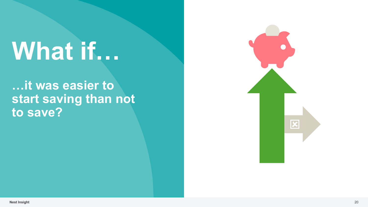# **What if…**

#### **…it was easier to start saving than not to save?**

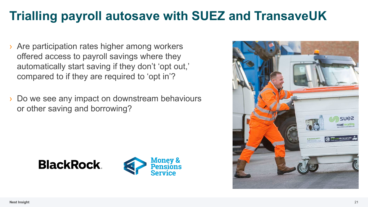### **Trialling payroll autosave with SUEZ and TransaveUK**

- Are participation rates higher among workers offered access to payroll savings where they automatically start saving if they don't 'opt out,' compared to if they are required to 'opt in'?
- Do we see any impact on downstream behaviours or other saving and borrowing?